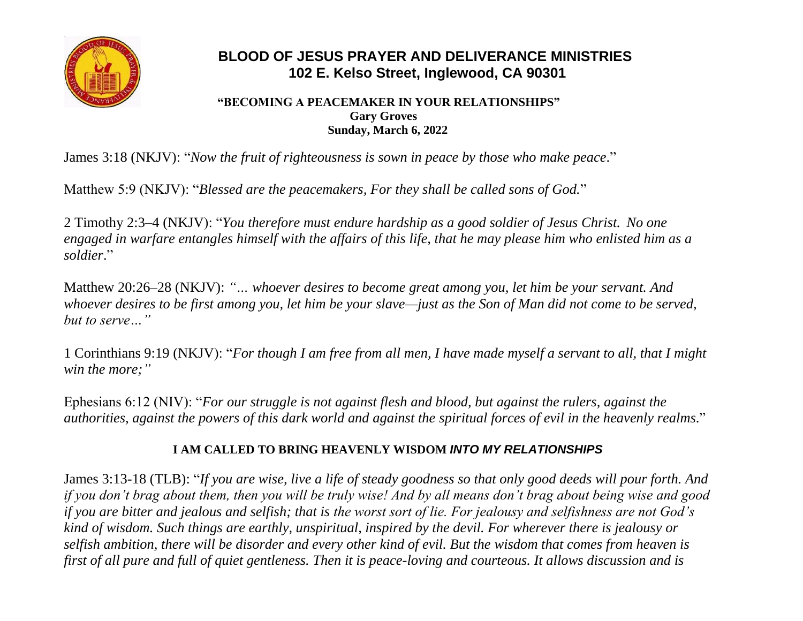

# **BLOOD OF JESUS PRAYER AND DELIVERANCE MINISTRIES 102 E. Kelso Street, Inglewood, CA 90301**

#### **"BECOMING A PEACEMAKER IN YOUR RELATIONSHIPS" Gary Groves Sunday, March 6, 2022**

James 3:18 (NKJV): "*Now the fruit of righteousness is sown in peace by those who make peace*."

Matthew 5:9 (NKJV): "*Blessed are the peacemakers, For they shall be called sons of God.*"

2 Timothy 2:3–4 (NKJV): "*You therefore must endure hardship as a good soldier of Jesus Christ. No one engaged in warfare entangles himself with the affairs of this life, that he may please him who enlisted him as a soldier*."

Matthew 20:26–28 (NKJV): *"… whoever desires to become great among you, let him be your servant. And whoever desires to be first among you, let him be your slave—just as the Son of Man did not come to be served, but to serve…"*

1 Corinthians 9:19 (NKJV): "*For though I am free from all men, I have made myself a servant to all, that I might win the more;"*

Ephesians 6:12 (NIV): "*For our struggle is not against flesh and blood, but against the rulers, against the authorities, against the powers of this dark world and against the spiritual forces of evil in the heavenly realms*."

## **I AM CALLED TO BRING HEAVENLY WISDOM** *INTO MY RELATIONSHIPS*

James 3:13-18 (TLB): "*If you are wise, live a life of steady goodness so that only good deeds will pour forth. And if you don't brag about them, then you will be truly wise! And by all means don't brag about being wise and good if you are bitter and jealous and selfish; that is the worst sort of lie. For jealousy and selfishness are not God's kind of wisdom. Such things are earthly, unspiritual, inspired by the devil. For wherever there is jealousy or selfish ambition, there will be disorder and every other kind of evil. But the wisdom that comes from heaven is first of all pure and full of quiet gentleness. Then it is peace-loving and courteous. It allows discussion and is*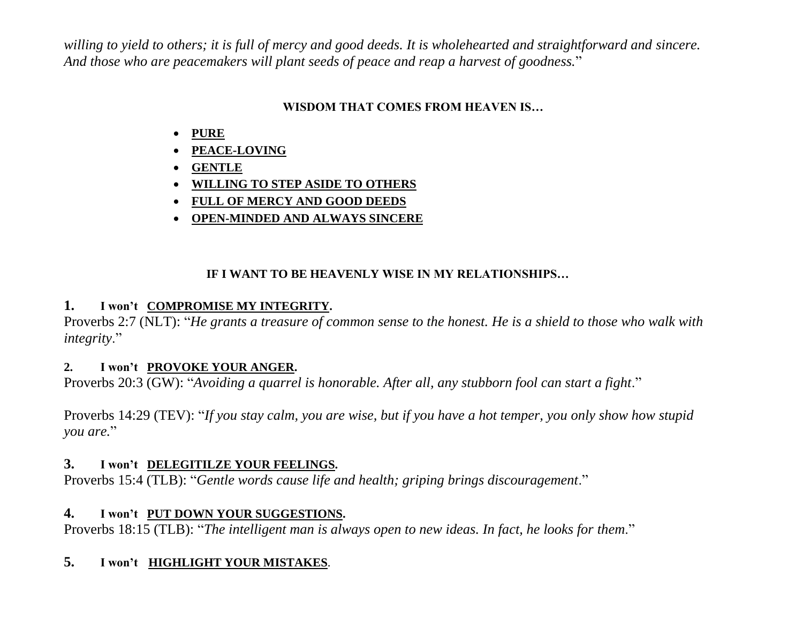*willing to yield to others; it is full of mercy and good deeds. It is wholehearted and straightforward and sincere. And those who are peacemakers will plant seeds of peace and reap a harvest of goodness.*"

## **WISDOM THAT COMES FROM HEAVEN IS…**

- **PURE**
- **PEACE-LOVING**
- **GENTLE**
- **WILLING TO STEP ASIDE TO OTHERS**
- **FULL OF MERCY AND GOOD DEEDS**
- **OPEN-MINDED AND ALWAYS SINCERE**

## **IF I WANT TO BE HEAVENLY WISE IN MY RELATIONSHIPS…**

## **1. I won't COMPROMISE MY INTEGRITY.**

Proverbs 2:7 (NLT): "*He grants a treasure of common sense to the honest. He is a shield to those who walk with integrity*."

#### **2. I won't PROVOKE YOUR ANGER.**

Proverbs 20:3 (GW): "*Avoiding a quarrel is honorable. After all, any stubborn fool can start a fight*."

Proverbs 14:29 (TEV): "*If you stay calm, you are wise, but if you have a hot temper, you only show how stupid you are.*"

## **3. I won't DELEGITILZE YOUR FEELINGS.**

Proverbs 15:4 (TLB): "*Gentle words cause life and health; griping brings discouragement*."

## **4. I won't PUT DOWN YOUR SUGGESTIONS.**

Proverbs 18:15 (TLB): "*The intelligent man is always open to new ideas. In fact, he looks for them*."

## **5. I won't HIGHLIGHT YOUR MISTAKES**.